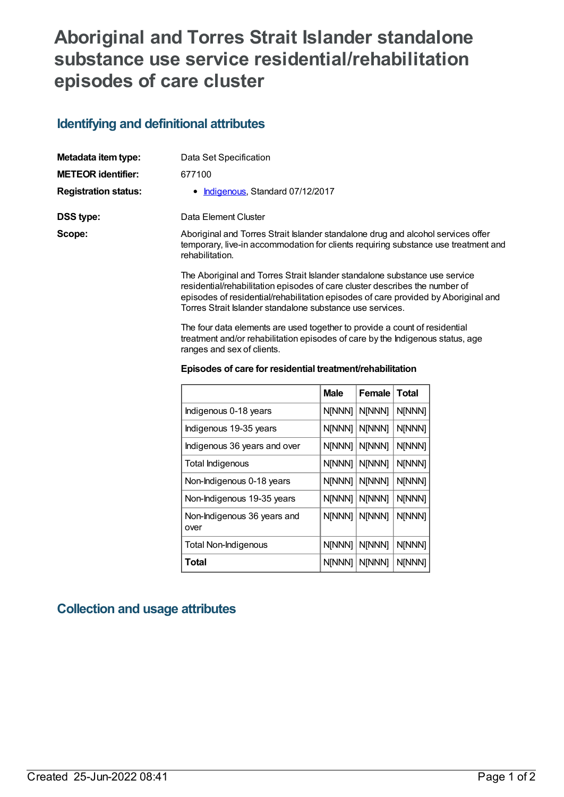## **Aboriginal and Torres Strait Islander standalone substance use service residential/rehabilitation episodes of care cluster**

## **Identifying and definitional attributes**

| Metadata item type:         | Data Set Specification                                                                                                                                                                                                                                                                                       |
|-----------------------------|--------------------------------------------------------------------------------------------------------------------------------------------------------------------------------------------------------------------------------------------------------------------------------------------------------------|
| <b>METEOR identifier:</b>   | 677100                                                                                                                                                                                                                                                                                                       |
| <b>Registration status:</b> | • Indigenous, Standard 07/12/2017                                                                                                                                                                                                                                                                            |
| DSS type:                   | Data Element Cluster                                                                                                                                                                                                                                                                                         |
| Scope:                      | Aboriginal and Torres Strait Islander standalone drug and alcohol services offer<br>temporary, live-in accommodation for clients requiring substance use treatment and<br>rehabilitation.                                                                                                                    |
|                             | The Aboriginal and Torres Strait Islander standalone substance use service<br>residential/rehabilitation episodes of care cluster describes the number of<br>episodes of residential/rehabilitation episodes of care provided by Aboriginal and<br>Torres Strait Islander standalone substance use services. |

The four data elements are used together to provide a count of residential treatment and/or rehabilitation episodes of care by the Indigenous status, age ranges and sex of clients.

| Episodes of care for residential treatment/rehabilitation |  |
|-----------------------------------------------------------|--|
|-----------------------------------------------------------|--|

|                                     | <b>Male</b> | Female | <b>Total</b> |
|-------------------------------------|-------------|--------|--------------|
| Indigenous 0-18 years               | N[NNN]      | N[NNN] | N[NNN]       |
| Indigenous 19-35 years              | N[NNN]      | N[NNN] | N[NNN]       |
| Indigenous 36 years and over        | N[NNN]      | N[NNN] | N[NNN]       |
| Total Indigenous                    | N[NNN]      | N[NNN] | N[NNN]       |
| Non-Indigenous 0-18 years           | N[NNN]      | N[NNN] | N[NNN]       |
| Non-Indigenous 19-35 years          | N[NNN]      | N[NNN] | N[NNN]       |
| Non-Indigenous 36 years and<br>over | N[NNN]      | N[NNN] | N[NNN]       |
| Total Non-Indigenous                | N[NNN]      | N[NNN] | N[NNN]       |
| Total                               | N[NNN]      | N[NNN] | N[NNN]       |

## **Collection and usage attributes**